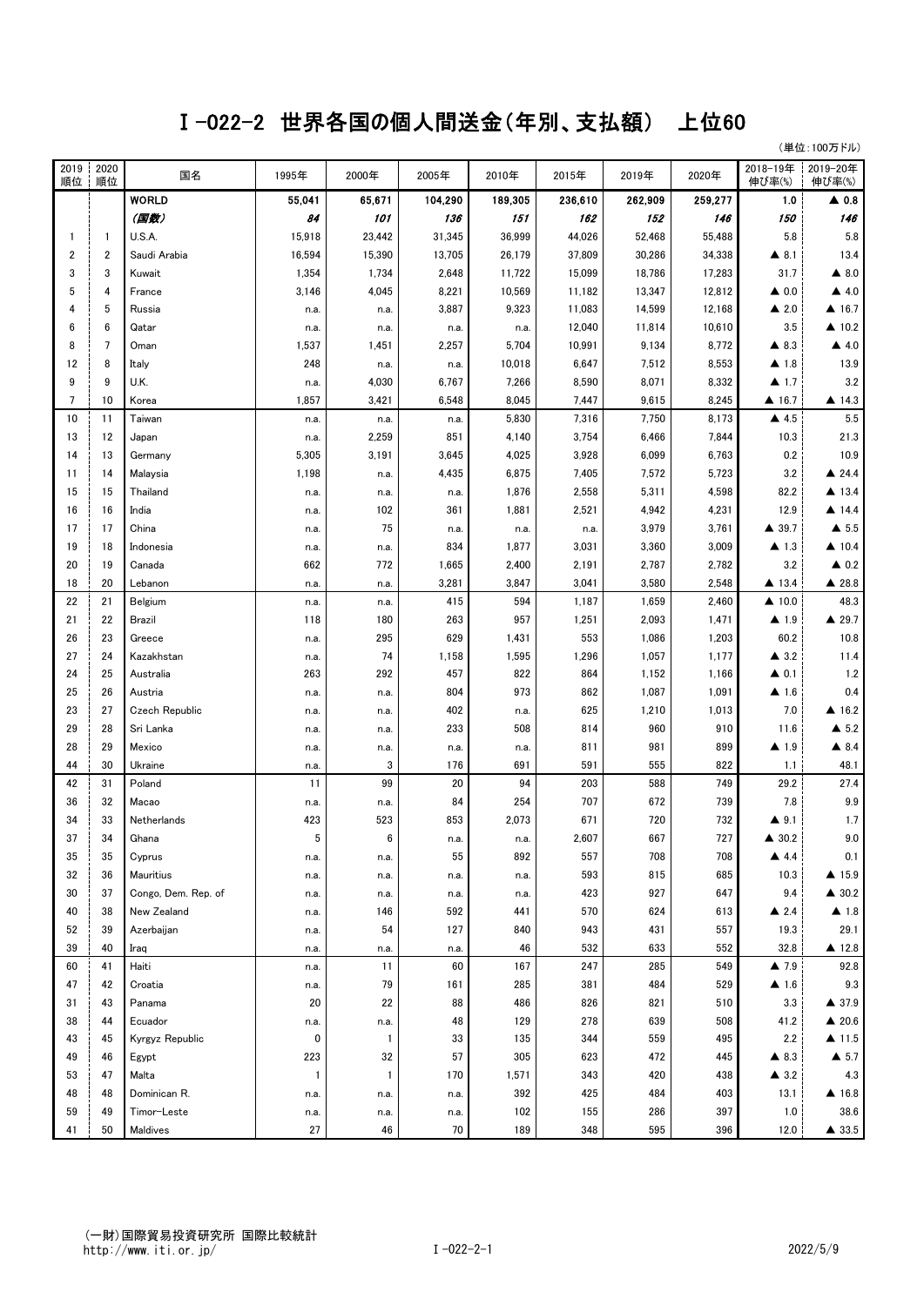## Ⅰ-022-2 世界各国の個人間送金(年別、支払額) 上位60

(単位:100万ドル)

| 2019<br>順位 | 2020<br>順位     | 国名                  | 1995年        | 2000年        | 2005年   | 2010年   | 2015年   | 2019年   | 2020年   | 2018-19年<br>伸び率(%)   | 2019-20年<br>伸び率(%)    |
|------------|----------------|---------------------|--------------|--------------|---------|---------|---------|---------|---------|----------------------|-----------------------|
|            |                | <b>WORLD</b>        | 55,041       | 65,671       | 104,290 | 189,305 | 236,610 | 262,909 | 259,277 | 1.0                  | $\blacktriangle$ 0.8  |
|            |                | (国数)                | 84           | 101          | 136     | 151     | 162     | 152     | 146     | 150                  | 146                   |
| 1          | $\mathbf{1}$   | U.S.A.              | 15,918       | 23,442       | 31,345  | 36,999  | 44,026  | 52,468  | 55,488  | 5.8                  | 5.8                   |
| 2          | $\overline{2}$ | Saudi Arabia        | 16,594       | 15,390       | 13,705  | 26,179  | 37,809  | 30,286  | 34,338  | $\blacktriangle$ 8.1 | 13.4                  |
| 3          | 3              | Kuwait              | 1,354        | 1,734        | 2,648   | 11,722  | 15,099  | 18,786  | 17,283  | 31.7                 | $\blacktriangle$ 8.0  |
| 5          | 4              | France              | 3,146        | 4,045        | 8,221   | 10,569  | 11,182  | 13,347  | 12,812  | $\triangle$ 0.0      | $\triangle$ 4.0       |
|            | 5              | Russia              | n.a.         | n.a.         | 3,887   | 9,323   | 11,083  | 14,599  | 12,168  | $\triangle$ 2.0      | $\triangle$ 16.7      |
| 6          | 6              | Qatar               | n.a.         | n.a.         | n.a.    | n.a.    | 12,040  | 11,814  | 10,610  | 3.5                  | $\triangle$ 10.2      |
| 8          | $\overline{7}$ | Oman                | 1,537        | 1,451        | 2,257   | 5,704   | 10,991  | 9,134   | 8,772   | $\triangle$ 8.3      | $\triangle$ 4.0       |
| 12         | 8              | Italy               | 248          | n.a.         | n.a.    | 10,018  | 6,647   | 7,512   | 8,553   | ▲ 1.8                | 13.9                  |
| 9          | 9              | U.K.                | n.a.         | 4,030        | 6,767   | 7,266   | 8,590   | 8,071   | 8,332   | $\blacktriangle$ 1.7 | 3.2                   |
| 7          | 10             | Korea               | 1,857        | 3,421        | 6,548   | 8,045   | 7,447   | 9,615   | 8,245   | 416.7                | ▲ 14.3                |
| 10         | 11             | Taiwan              | n.a.         | n.a.         | n.a.    | 5,830   | 7,316   | 7,750   | 8,173   | $\triangle$ 4.5      | 5.5                   |
| 13         | 12             | Japan               | n.a.         | 2,259        | 851     | 4,140   | 3,754   | 6,466   | 7,844   | 10.3                 | 21.3                  |
| 14         | 13             | Germany             | 5,305        | 3,191        | 3,645   | 4,025   | 3,928   | 6,099   | 6,763   | 0.2                  | 10.9                  |
| 11         | 14             | Malaysia            | 1,198        | n.a.         | 4,435   | 6,875   | 7,405   | 7,572   | 5,723   | 3.2                  | $\triangle$ 24.4      |
| 15         | 15             | Thailand            | n.a.         | n.a.         | n.a.    | 1,876   | 2,558   | 5,311   | 4,598   | 82.2                 | $\triangle$ 13.4      |
| 16         | 16             | India               | n.a.         | 102          | 361     | 1,881   | 2,521   | 4,942   | 4,231   | 12.9                 | ▲ 14.4                |
| 17         | 17             | China               | n.a.         | 75           | n.a.    | n.a.    | n.a.    | 3,979   | 3,761   | $\triangle$ 39.7     | $\triangle$ 5.5       |
| 19         | 18             | Indonesia           | n.a.         | n.a.         | 834     | 1,877   | 3,031   | 3,360   | 3,009   | $\blacktriangle$ 1.3 | $\blacktriangle$ 10.4 |
| 20         | 19             | Canada              | 662          | 772          | 1,665   | 2,400   | 2,191   | 2,787   | 2,782   | 3.2                  | $\triangle$ 0.2       |
| 18         | 20             | Lebanon             | n.a.         | n.a.         | 3,281   | 3,847   | 3,041   | 3,580   | 2,548   | $\triangle$ 13.4     | ▲ 28.8                |
| 22         | 21             | Belgium             | n.a.         | n.a.         | 415     | 594     | 1,187   | 1,659   | 2,460   | $\triangle$ 10.0     | 48.3                  |
| 21         | 22             | Brazil              | 118          | 180          | 263     | 957     | 1,251   | 2,093   | 1,471   | $\blacktriangle$ 1.9 | ▲ 29.7                |
| 26         | 23             | Greece              | n.a.         | 295          | 629     | 1,431   | 553     | 1,086   | 1,203   | 60.2                 | 10.8                  |
| 27         | 24             | Kazakhstan          | n.a.         | 74           | 1,158   | 1,595   | 1,296   | 1,057   | 1,177   | $\triangle$ 3.2      | 11.4                  |
| 24         | 25             | Australia           | 263          | 292          | 457     | 822     | 864     | 1,152   | 1,166   | $\triangle$ 0.1      | 1.2                   |
| 25         | 26             | Austria             | n.a.         | n.a.         | 804     | 973     | 862     | 1,087   | 1,091   | $\blacktriangle$ 1.6 | 0.4                   |
| 23         | 27             | Czech Republic      | n.a.         | n.a.         | 402     | n.a.    | 625     | 1,210   | 1,013   | 7.0                  | ▲ 16.2                |
| 29         | 28             | Sri Lanka           | n.a.         | n.a.         | 233     | 508     | 814     | 960     | 910     | 11.6                 | $\triangle$ 5.2       |
| 28         | 29             | Mexico              | n.a.         | n.a.         | n.a.    | n.a.    | 811     | 981     | 899     | $\blacktriangle$ 1.9 | $\triangle$ 8.4       |
| 44         | 30             | Ukraine             | n.a.         | 3            | 176     | 691     | 591     | 555     | 822     | 1.1                  | 48.1                  |
| 42         | 31             | Poland              | 11           | 99           | 20      | 94      | 203     | 588     | 749     | 29.2                 | 27.4                  |
| 36         | 32             | Macao               | n.a.         | n.a.         | 84      | 254     | 707     | 672     | 739     | 7.8                  | 9.9                   |
| 34         | 33             | Netherlands         | 423          | 523          | 853     | 2,073   | 671     | 720     | 732     | $\blacktriangle$ 9.1 | 1.7                   |
| 37         | 34             | Ghana               | 5            | 6            | n.a.    | n.a.    | 2,607   | 667     | 727     | $\triangle$ 30.2     | $9.0\,$               |
| 35         | 35             | Cyprus              | n.a.         | n.a.         | 55      | 892     | 557     | 708     | 708     | 4.4                  | 0.1                   |
| 32         | 36             | Mauritius           | n.a.         | n.a.         | n.a.    | n.a.    | 593     | 815     | 685     | 10.3                 | $\triangle$ 15.9      |
| 30         | 37             | Congo, Dem. Rep. of | n.a.         | n.a.         | n.a.    | n.a.    | 423     | 927     | 647     | 9.4                  | $\triangle$ 30.2      |
| 40         | 38             | New Zealand         | n.a.         | 146          | 592     | 441     | 570     | 624     | 613     | $\triangle$ 2.4      | $\blacktriangle$ 1.8  |
| 52         | 39             | Azerbaijan          | n.a.         | 54           | 127     | 840     | 943     | 431     | 557     | 19.3                 | 29.1                  |
| 39         | 40             | Iraq                | n.a.         | n.a.         | n.a.    | 46      | 532     | 633     | 552     | 32.8                 | $\triangle$ 12.8      |
| 60         | 41             | Haiti               | n.a.         | 11           | 60      | 167     | 247     | 285     | 549     | $\blacktriangle$ 7.9 | 92.8                  |
| 47         | 42             | Croatia             | n.a.         | 79           | 161     | 285     | 381     | 484     | 529     | $\blacktriangle$ 1.6 | 9.3                   |
| 31         | 43             | Panama              | 20           | 22           | 88      | 486     | 826     | 821     | 510     | 3.3                  | $\triangle$ 37.9      |
| 38         | 44             | Ecuador             | n.a.         | n.a.         | 48      | 129     | 278     | 639     | 508     | 41.2                 | $\triangle$ 20.6      |
| 43         | 45             | Kyrgyz Republic     | 0            | $\mathbf{1}$ | 33      | 135     | 344     | 559     | 495     | 2.2                  | $\triangle$ 11.5      |
| 49         | 46             | Egypt               | 223          | 32           | 57      | 305     | 623     | 472     | 445     | $\triangle$ 8.3      | $\blacktriangle$ 5.7  |
| 53         | 47             | Malta               | $\mathbf{1}$ | $\mathbf{1}$ | 170     | 1,571   | 343     | 420     | 438     | $\triangle$ 3.2      | 4.3                   |
| 48         | 48             | Dominican R.        | n.a.         | n.a.         | n.a.    | 392     | 425     | 484     | 403     | 13.1                 | $\blacktriangle$ 16.8 |
| 59         | 49             | Timor-Leste         | n.a.         | n.a.         | n.a.    | 102     | 155     | 286     | 397     | 1.0                  | 38.6                  |
| 41         | 50             | Maldives            | 27           | 46           | 70      | 189     | 348     | 595     | 396     | 12.0                 | ▲ 33.5                |